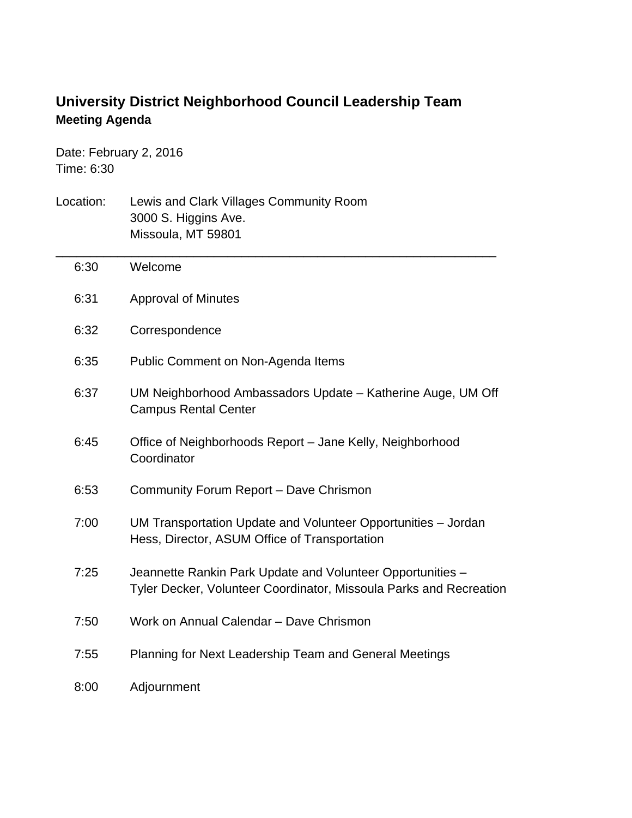## **University District Neighborhood Council Leadership Team Meeting Agenda**

Date: February 2, 2016 Time: 6:30

| Location: | Lewis and Clark Villages Community Room<br>3000 S. Higgins Ave.<br>Missoula, MT 59801                                            |
|-----------|----------------------------------------------------------------------------------------------------------------------------------|
| 6:30      | Welcome                                                                                                                          |
| 6:31      | <b>Approval of Minutes</b>                                                                                                       |
| 6:32      | Correspondence                                                                                                                   |
| 6:35      | Public Comment on Non-Agenda Items                                                                                               |
| 6:37      | UM Neighborhood Ambassadors Update - Katherine Auge, UM Off<br><b>Campus Rental Center</b>                                       |
| 6:45      | Office of Neighborhoods Report - Jane Kelly, Neighborhood<br>Coordinator                                                         |
| 6:53      | Community Forum Report - Dave Chrismon                                                                                           |
| 7:00      | UM Transportation Update and Volunteer Opportunities - Jordan<br>Hess, Director, ASUM Office of Transportation                   |
| 7:25      | Jeannette Rankin Park Update and Volunteer Opportunities -<br>Tyler Decker, Volunteer Coordinator, Missoula Parks and Recreation |
| 7:50      | Work on Annual Calendar - Dave Chrismon                                                                                          |
| 7:55      | Planning for Next Leadership Team and General Meetings                                                                           |
| 8:00      | Adjournment                                                                                                                      |